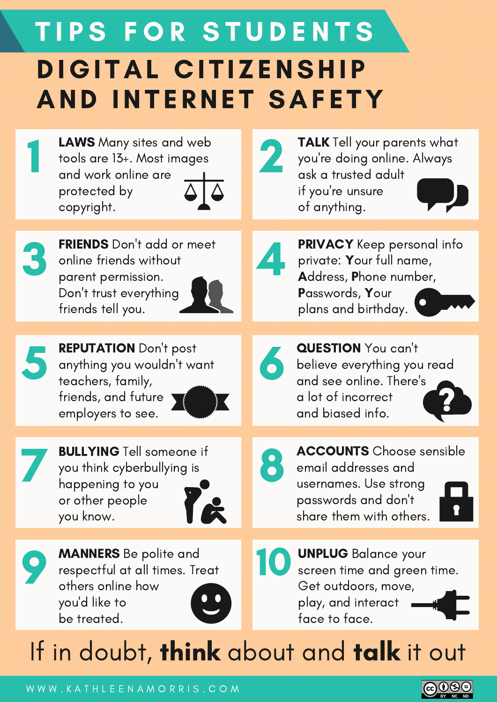#### DIGITAL CITIZENSHIP **AND INTERNET SAFETY** TIPS FOR STUDENTS

LAWS Many sites and web tools are 13+. Most images and work online are protected by copyright.



1

FRIENDS Don't add or meet online friends without parent permission. Don't trust everything friends tell you.



4

2

5

REPUTATION Don't post anything you wouldn't want teachers, family, friends, and future employers to see.



BULLYING Tell someone if<br>you think cyberbullying is BULLYING Tell someone if you think cyberbullying is happening to you or other people you know.





MANNERS Be polite and<br>respectful at all times. Treat MANNERS Be polite and respectful at all times. Treat others online how you'd like to be treated.



UNPLUG Balance your screen time and green time. Get outdoors, move, play, and interact face to face.

#### If in doubt, think about and talk it out

W W W . K A T H L E E N A M O R R I S . C O M



QUESTION You can't and see online. There's a lot of incorrect and biased info.



believe everything you read

**TALK** Tell your parents what you're doing online. Always

PRIVACY Keep personal info

private: Your full name, Address, Phone number,

ask a trusted adult

if you're unsure

Passwords, Your

plans and birthday.

of anything.



ACCOUNTS Choose sensible email addresses and usernames. Use strong passwords and don't share them with others.

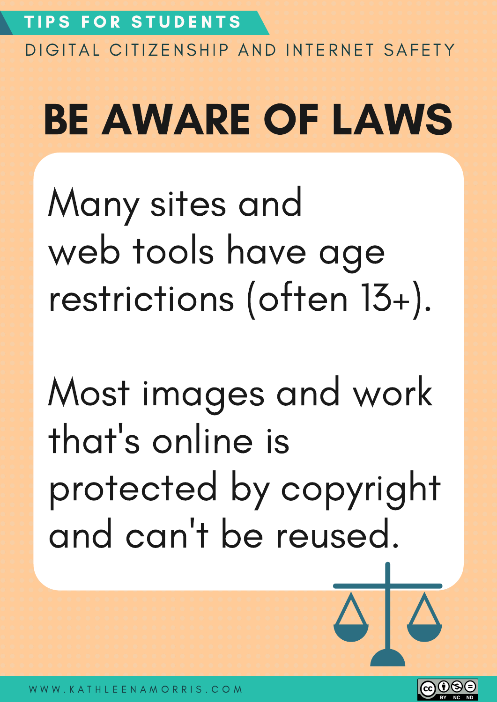#### BE AWARE OF LAWS

Many sites and web tools have age restrictions (often 13+).

Most images and work that' s online is protected by copyright and can 't be reused.



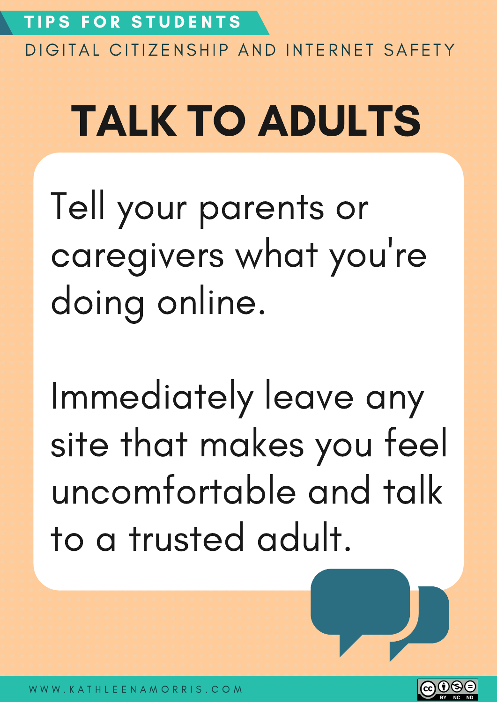## TALK TO ADULTS

Tell your parents or caregivers what you 're doing online.

Immediately leave any site that makes you feel uncomfortable and talk to a trusted adult.

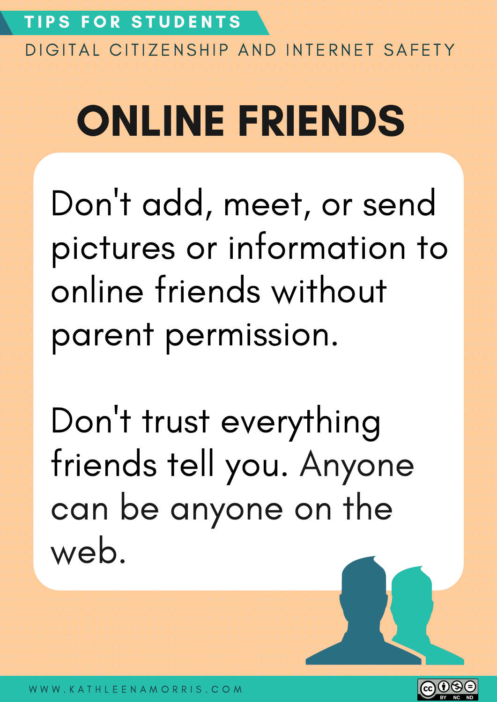#### ONLINE FRIENDS

Don 't add, meet, or send pictures or information to online friends without parent permission.

Don 't trust everything friends tell you. Anyone can be anyone on the web.

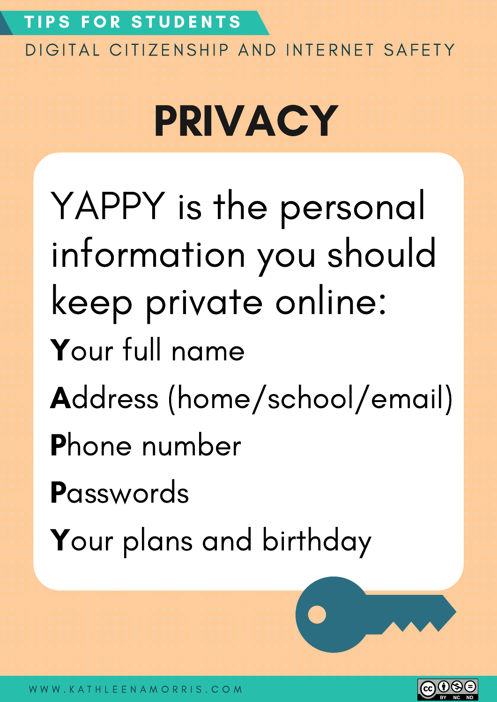#### TIPS FOR STUDENTS

DIGITAL CITIZENSHIP AND INTERNET SAFETY

#### PRIVACY

YAPPY is the personal information you should keep private online: Your full name Address (home/school/email) Phone number **P**asswords Your plans and birthday

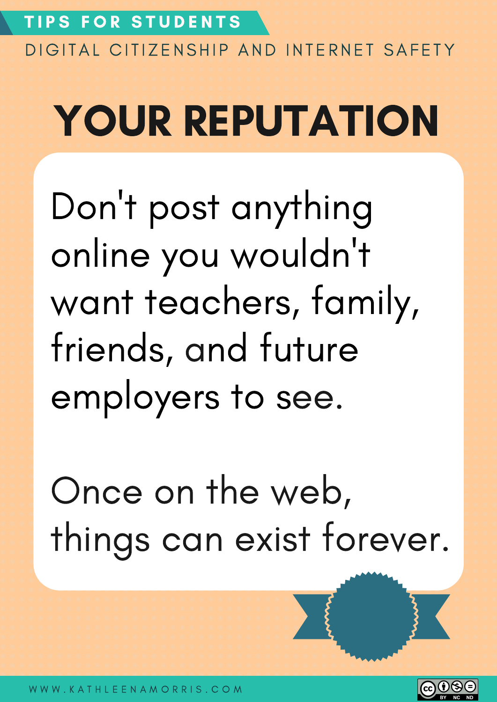#### YOUR REPUTATION

Don 't post anything online you wouldn 't want teachers, family, friends, and future employers to see.

Once on the web, things can exist forever.

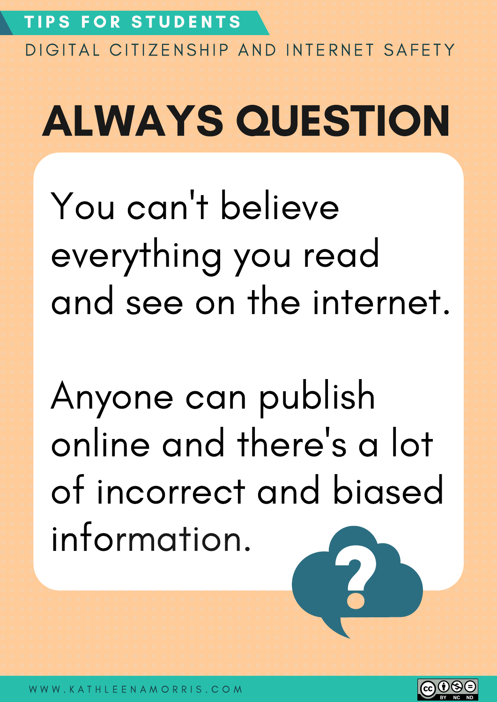# ALWAYS QUESTION

You can 't believe everything you read and see on the internet.

Anyone can publish online and there 's a lot of incorrect and biased information.

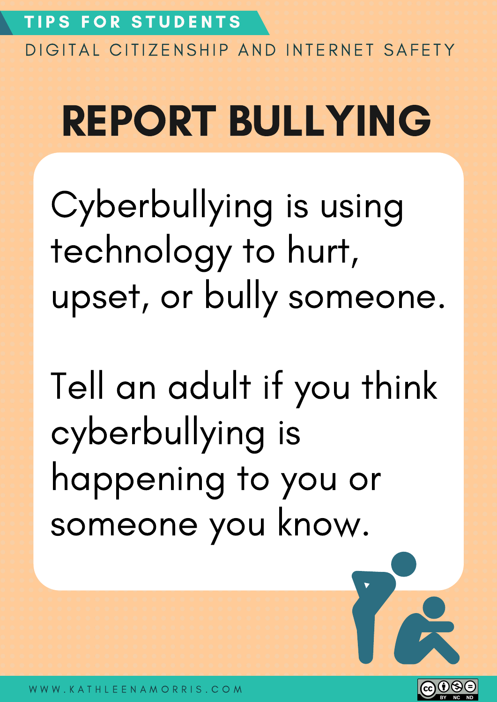#### REPORT BULLYING

Cyberbullying is using technology to hurt, upset, or bully someone.

Tell an adult if you think cyberbullying is happening to you or someone you know.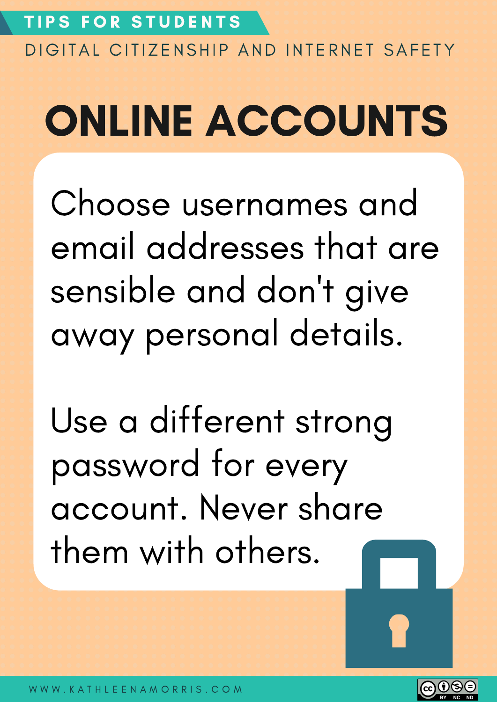# ONLINE ACCOUNTS

Choose usernames and email addresses that are sensible and don 't give away personal details.

Use a different strong password for every account. Never share them with others.

 $(cc)(i)$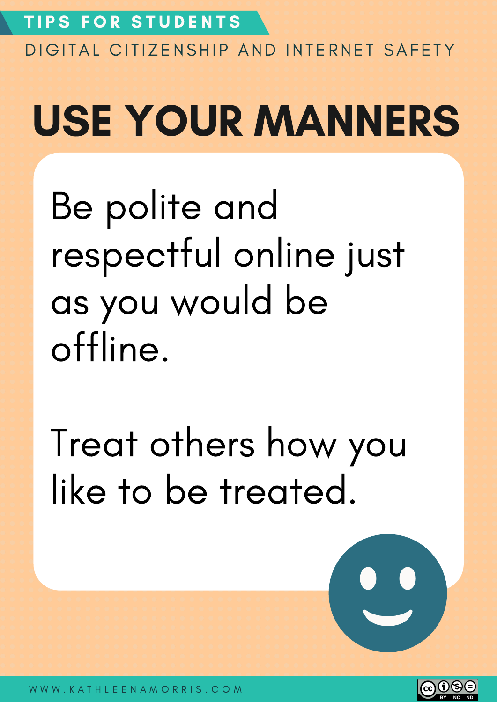# USE YOUR MANNERS

Be polite and respectful online just as you would be offline.

Treat others how you like to be treated.